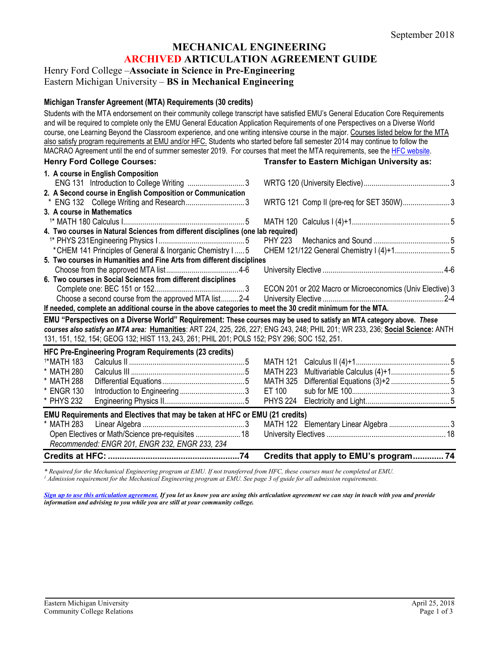## **MECHANICAL ENGINEERING ARCHIVED ARTICULATION AGREEMENT GUIDE**

#### Henry Ford College –**Associate in Science in Pre-Engineering** Eastern Michigan University – **BS in Mechanical Engineering**

#### **Michigan Transfer Agreement (MTA) Requirements (30 credits)**

Students with the MTA endorsement on their community college transcript have satisfied EMU's General Education Core Requirements and will be required to complete only the EMU General Education Application Requirements of one Perspectives on a Diverse World course, one Learning Beyond the Classroom experience, and one writing intensive course in the major. Courses listed below for the MTA also satisfy program requirements at EMU and/or HFC. Students who started before fall semester 2014 may continue to follow the MACRAO Agreement until the end of summer semester 2019. For courses that meet the MTA requirements, see th[e HFC website.](https://www.hfcc.edu/registration-and-records/mta) **Henry Ford College Courses: Transfer to Eastern Michigan University as: 1. A course in English Composition** ENG 131 Introduction to College Writing ............................. 3 WRTG 120 (University Elective)............................................ 3 **2. A Second course in English Composition or Communication** \* ENG 132 College Writing and Research.............................. 3 WRTG 121 Comp II (pre-req for SET 350W)........................ 3 **3. A course in Mathematics** 1\* MATH 180 Calculus I.............................................................. 5 MATH 120 Calculus I (4)+1.................................................. 5 **4. Two courses in Natural Sciences from different disciplines (one lab required)** 1\* PHYS 231Engineering Physics I............................................ 5 PHY 223 Mechanics and Sound ....................................... 5 \*CHEM 141 Principles of General & Inorganic Chemistry I .....5 CHEM 121/122 General Chemistry I (4)+1............................ 5 **5. Two courses in Humanities and Fine Arts from different disciplines** Choose from the approved MTA list.....................................4-6 University Elective ..............................................................4-6 **6. Two courses in Social Sciences from different disciplines** Complete one: BEC 151 or 152.............................................. 3 ECON 201 or 202 Macro or Microeconomics (Univ Elective) 3 Choose a second course from the approved MTA list.........2-4 University Elective ..............................................................2-4 **If needed, complete an additional course in the above categories to meet the 30 credit minimum for the MTA. EMU "Perspectives on a Diverse World" Requirement: These courses may be used to satisfy an MTA category above.** *These courses also satisfy an MTA area:* **Humanities**: ART 224, 225, 226, 227; ENG 243, 248; PHIL 201; WR 233, 236; **Social Science:** ANTH 131, 151, 152, 154; GEOG 132; HIST 113, 243, 261; PHIL 201; POLS 152; PSY 296; SOC 152, 251. **HFC Pre-Engineering Program Requirements (23 credits)** 1\*MATH 183 Calculus II ...........................................................5 MATH 121 Calculus II (4)+1................................................ 5 \* MATH 280 Calculus III ..........................................................5 MATH 223 Multivariable Calculus (4)+1.............................. 5 \* MATH 288 Differential Equations..........................................5 MATH 325 Differential Equations (3)+2 .............................. 5 \* ENGR 130 Introduction to Engineering .................................3 ET 100 sub for ME 100.................................................. 3 \* PHYS 232 Engineering Physics II.........................................5 PHYS 224 Electricity and Light........................................... 5 **EMU Requirements and Electives that may be taken at HFC or EMU (21 credits)** \* MATH 283 Linear Algebra ....................................................3 MATH 122 Elementary Linear Algebra ............................... 3 Open Electives or Math/Science pre-requisites .......................18 University Electives ............................................................. 18 *Recommended: ENGR 201, ENGR 232, ENGR 233, 234* **Credits at HFC: ........................................................74 Credits that apply to EMU's program............. 74**

*\* Required for the Mechanical Engineering program at EMU. If not transferred from HFC, these courses must be completed at EMU. <sup>1</sup> Admission requirement for the Mechanical Engineering program at EMU. See page 3 of guide for all admission requirements.* 

*[Sign up to use this articulation agreement.](http://www.emich.edu/ccr/articulation-agreements/signup.php) If you let us know you are using this articulation agreement we can stay in touch with you and provide information and advising to you while you are still at your community college.*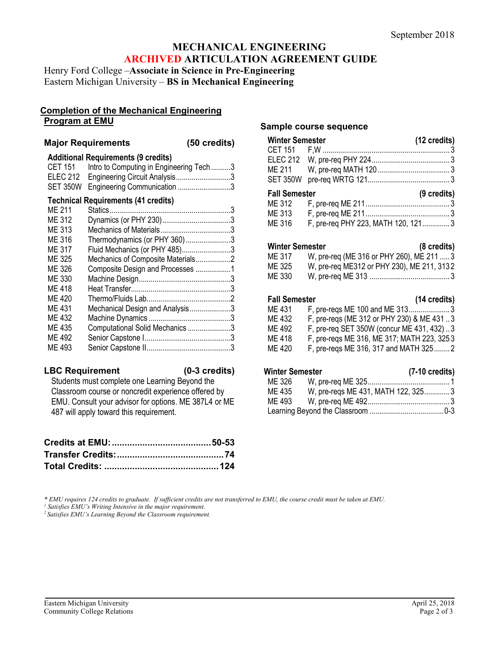# **MECHANICAL ENGINEERING ARCHIVED ARTICULATION AGREEMENT GUIDE**

Henry Ford College –**Associate in Science in Pre-Engineering** Eastern Michigan University – **BS in Mechanical Engineering**

### **Completion of the Mechanical Engineering Program at EMU**

| <b>Major Requirements</b> | (50 credits)                                     |  |
|---------------------------|--------------------------------------------------|--|
|                           | <b>Additional Requirements (9 credits)</b>       |  |
|                           | CET 151 Intro to Computing in Engineering Tech 3 |  |
|                           | ELEC 212 Engineering Circuit Analysis3           |  |
|                           | SET 350W Engineering Communication 3             |  |
|                           | <b>Technical Requirements (41 credits)</b>       |  |
| <b>ME 211</b>             |                                                  |  |
| ME 312                    |                                                  |  |
| ME 313                    |                                                  |  |
| ME 316                    | Thermodynamics (or PHY 360)3                     |  |
| ME 317                    | Fluid Mechanics (or PHY 485)3                    |  |
|                           |                                                  |  |

| $IVIL$ $JII$ | <u>I IUIU IVIECHAHICS (ULFIII 40J)</u> |  |
|--------------|----------------------------------------|--|
| ME 325       | Mechanics of Composite Materials2      |  |
| ME 326       | Composite Design and Processes 1       |  |
| ME 330       |                                        |  |
| ME 418       |                                        |  |
| ME 420       |                                        |  |
| ME 431       | Mechanical Design and Analysis3        |  |
| ME 432       |                                        |  |
| ME 435       | Computational Solid Mechanics 3        |  |
| ME 492       |                                        |  |
| ME 493       |                                        |  |
|              |                                        |  |

### **LBC Requirement (0-3 credits)**

Students must complete one Learning Beyond the Classroom course or noncredit experience offered by EMU. Consult your advisor for options. ME 387L4 or ME 487 will apply toward this requirement.

#### **Sample course sequence**

| <b>Winter Semester</b><br><b>CET 151</b> |                                                                                        | (12 credits) |  |  |
|------------------------------------------|----------------------------------------------------------------------------------------|--------------|--|--|
| <b>ELEC 212</b><br>ME 211                |                                                                                        |              |  |  |
| <b>SET 350W</b>                          |                                                                                        |              |  |  |
| <b>Fall Semester</b>                     |                                                                                        | (9 credits)  |  |  |
| ME 312<br>ME 313                         |                                                                                        |              |  |  |
| ME 316                                   | F, pre-req PHY 223, MATH 120, 1213                                                     |              |  |  |
| <b>Winter Semester</b><br>(8 credits)    |                                                                                        |              |  |  |
| ME 317                                   | W, pre-req (ME 316 or PHY 260), ME 211  3                                              |              |  |  |
| ME 325<br>ME 330                         | W, pre-req ME312 or PHY 230), ME 211, 3132                                             |              |  |  |
| <b>Fall Semester</b><br>(14 credits)     |                                                                                        |              |  |  |
| ME 431                                   | F, pre-regs ME 100 and ME 3133                                                         |              |  |  |
| ME 432<br>ME 492                         | F, pre-regs (ME 312 or PHY 230) & ME 4313<br>F, pre-req SET 350W (concur ME 431, 432)3 |              |  |  |
| ME 418<br>ME 420                         | F, pre-regs ME 316, ME 317; MATH 223, 3253<br>F, pre-regs ME 316, 317 and MATH 3252    |              |  |  |

#### **Winter Semester (7-10 credits)**

| TIIIWI UVIIIVJIVI |                                    | $\mathbf{u}$ - $\mathbf{v}$ victimal |
|-------------------|------------------------------------|--------------------------------------|
| ME 326            |                                    |                                      |
| ME 435            | W, pre-regs ME 431, MATH 122, 3253 |                                      |
|                   |                                    |                                      |
|                   |                                    |                                      |

*\* EMU requires 124 credits to graduate. If sufficient credits are not transferred to EMU, the course credit must be taken at EMU. 1 Satisfies EMU's Writing Intensive in the major requirement.*

*2 Satisfies EMU's Learning Beyond the Classroom requirement.*